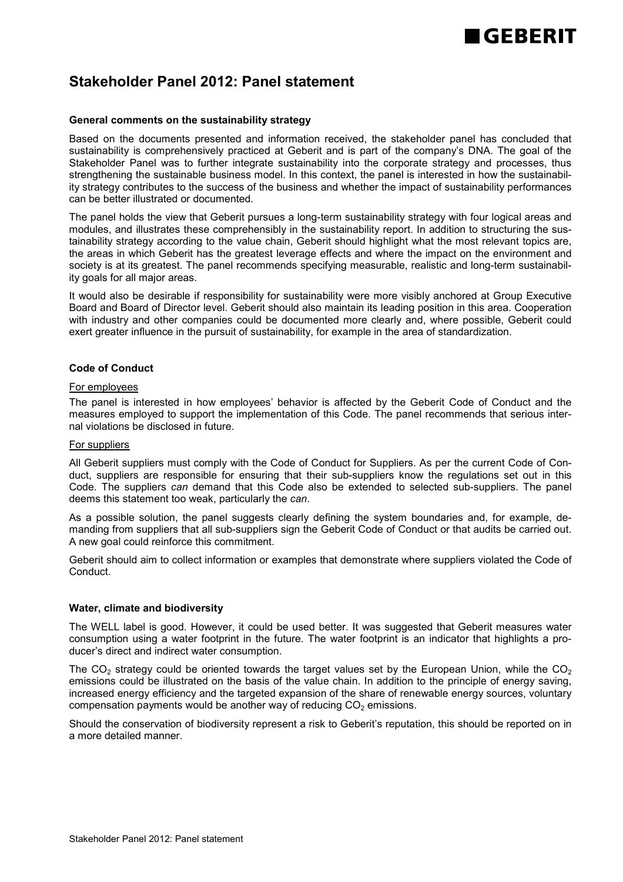# **GEBERIT**

### **Stakeholder Panel 2012: Panel statement**

#### **General comments on the sustainability strategy**

Based on the documents presented and information received, the stakeholder panel has concluded that sustainability is comprehensively practiced at Geberit and is part of the company's DNA. The goal of the Stakeholder Panel was to further integrate sustainability into the corporate strategy and processes, thus strengthening the sustainable business model. In this context, the panel is interested in how the sustainability strategy contributes to the success of the business and whether the impact of sustainability performances can be better illustrated or documented.

The panel holds the view that Geberit pursues a long-term sustainability strategy with four logical areas and modules, and illustrates these comprehensibly in the sustainability report. In addition to structuring the sustainability strategy according to the value chain, Geberit should highlight what the most relevant topics are, the areas in which Geberit has the greatest leverage effects and where the impact on the environment and society is at its greatest. The panel recommends specifying measurable, realistic and long-term sustainability goals for all major areas.

It would also be desirable if responsibility for sustainability were more visibly anchored at Group Executive Board and Board of Director level. Geberit should also maintain its leading position in this area. Cooperation with industry and other companies could be documented more clearly and, where possible, Geberit could exert greater influence in the pursuit of sustainability, for example in the area of standardization.

#### **Code of Conduct**

#### For employees

The panel is interested in how employees' behavior is affected by the Geberit Code of Conduct and the measures employed to support the implementation of this Code. The panel recommends that serious internal violations be disclosed in future.

#### For suppliers

All Geberit suppliers must comply with the Code of Conduct for Suppliers. As per the current Code of Conduct, suppliers are responsible for ensuring that their sub-suppliers know the regulations set out in this Code. The suppliers *can* demand that this Code also be extended to selected sub-suppliers. The panel deems this statement too weak, particularly the *can*.

As a possible solution, the panel suggests clearly defining the system boundaries and, for example, demanding from suppliers that all sub-suppliers sign the Geberit Code of Conduct or that audits be carried out. A new goal could reinforce this commitment.

Geberit should aim to collect information or examples that demonstrate where suppliers violated the Code of Conduct.

#### **Water, climate and biodiversity**

The WELL label is good. However, it could be used better. It was suggested that Geberit measures water consumption using a water footprint in the future. The water footprint is an indicator that highlights a producer's direct and indirect water consumption.

The  $CO<sub>2</sub>$  strategy could be oriented towards the target values set by the European Union, while the  $CO<sub>2</sub>$ emissions could be illustrated on the basis of the value chain. In addition to the principle of energy saving, increased energy efficiency and the targeted expansion of the share of renewable energy sources, voluntary compensation payments would be another way of reducing  $CO<sub>2</sub>$  emissions.

Should the conservation of biodiversity represent a risk to Geberit's reputation, this should be reported on in a more detailed manner.